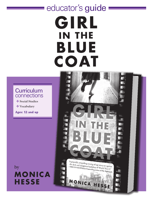# educator's guide GIRL **IN THE** BLUE COAT

# **Curriculum** connections

- \* Social Studies
- $\bullet$  Vocabulary

Ages: 12 and up

by **MONICA HESSE**

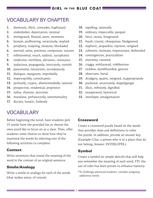# VOCABULARY BY CHAPTER

- **1.** dismount, illicit, comrades, haphazard
- **2.** onderduiker, deportation, rational
- **3.** immigrated, flouted, avert, momento
- **4.** lyceum, profiteering, voraciously, waylaid
- **5.** periphery, traipsing, amateur, blockaded
- **6.** exerted, anise, pretense, composure, sutures
- **7.** infinitesimal, vouch, sadistic, sycophants
- **8.** vindictive, mirthless, altruistic, resistance
- **9.** audacious, propaganda, intricately, varnish
- **10.** pantomime, fanaticism, incredulously
- **11.** dialogue, repugnant, improbably
- **12.** imperceptibly, constituents
- **13.** profusely, cryptic, absentmindedly, rational
- **14.** prospective, residential, proprietor
- **15.** valise, chastise, atrocities
- **16.** mundane, perfunctorily, sentimentality
- **17.** dictate, lunatic, listlessly

# VOCABULARY

Before beginning the novel, have students pick 15 words from the provided list or choose the ones you'd like to focus on as a class. Then, offer students some choices to show how they've mastered the words by selecting two of the following activities to complete:

## Context

Write sentences that reveal the meaning of the word in the context of an original sentence.

## Simile/Analogy

Write a simile or analogy for each of the words (that makes sense, of course).

- **18.** repelling, rationally
- **19.** ordinary, impeccable, parquet
- **20.** farce, razzia, foreground
- **21.** brash, transit, obsequious, bludgeoned
- **22.** euphoric, jeopardize, reprieve, resigned
- **23.** coherent, intimate, impersonate, disheveled
- **24.** contingencies, practicalities
- **25.** enormity, tattered
- **26.** craggy, exhilarated, cobblestone
- **27.** reckless, dumbfounded, gesture
- **28.** observant, banal
- **29.** drudgery, quaint, resigned, inappropriately
- **30.** puckered, uncertainly, doppelganger
- **31.** illicit, infinitely, dignified
- **32.** exasperated, hysterical
- **33.** interloper, amalgamation

## Crossword

Create a crossword puzzle based on the words that provides clues and definitions to solve the puzzle. In addition, provide an answer key. (Example–Clue: a person who is in a place they do not belong; Answer: INTERLOPER.)

## Symbol

Create a symbol (or simple sketch) that will help you remember the meaning of each word. FYI: the use of color has been proven to enhance memory.

\*To challenge advanced students, consider assigning additional words.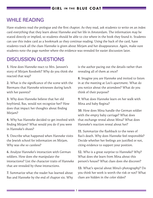#### **GIRL IN THE BLUE COAT**

# WHILE READING

Have students read the prologue and the first chapter. As they read, ask students to write on an index card everything that they learn about Hanneke and her life in Amsterdam. The information may be stated directly or implied, so students should be able to cite where in the book they found it. Students can use this index card as a bookmark as they continue reading. Using the back of the card, have students track all the clues Hanneke is given about Mirjam and her disappearance. Again, make sure students note the page number where the evidence was revealed for easier discussion later.

# DISCUSSION QUESTIONS

**1.** How does Hanneke react to Mrs. Janssen's story of Mirjam Roodvelt? Why do you think she reacted that way?

**2.** What is the significance of the scene with the Biermans that Hanneke witnesses during lunch with her parents?

**3.** Why does Hanneke believe that her old boyfriend, Bas, would not recognize her? How does that impact her thoughts about finding Mirjam?

**4.** Why has Hanneke decided to get involved with finding Mirjam? What would you do if you were in Hanneke's shoes?

**5.** Describe what happened when Hanneke visits the Jewish school for information on Mirjam. Why was she so careless?

**6.** Analyze Hanneke's interaction with German soldiers. How does she manipulate the interactions? List the character traits of Hanneke that are revealed by these interactions.

**7.** Summarize what the reader has learned about Bas and Hanneke by the end of chapter six. Why

is the author pacing out the details rather than revealing all of them at once?

**8.** Imagine you are Hanneke and invited to listen in at the meeting at Leo's apartment. What do you notice about the attendees? What do you think of their purpose?

**9.** What does Hanneke learn on her walk with Mina and baby Regina?

**10.** How does Mina handle the German soldier with the empty baby carriage? What does that exchange reveal about Mina? What does Hanneke's reaction reveal about her?

**11.** Summarize the flashback to the news of Bas's death. Why does Hanneke feel responsible? Decide whether her feelings are justified or not, citing evidence to support your position.

**12.** Who is a great surprise to Hanneke? Why? What does she learn from Mina about this person's house? What clues does she discover?

**13.** What's special about Mina's photography? Do you think her work is worth the risk or not? What clues are hidden in the color slides?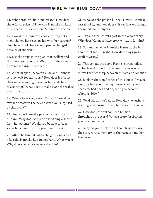#### **IRL IN THE BLUE COAT**

**14.** What problem did Mina create? How does she offer to solve it? How can Hanneke make a difference in this situation? Summarize the plan.

**15.** How does Hanneke's choice to stay out all night change her relationship with her parents? How have all of these young people changed because of the war?

**16.** List the steps in the plan that Willem and Hanneke create to save Mirjam and the camera from most dangerous to least.

**17.** What happens between Ollie and Hanneke as they wait for transport? How does it change their understanding of each other, and their relationship? What does it make Hanneke realize about the war?

**18.** Where have they taken Mirjam? How does everyone react to the news? Were you surprised by this event?

**19.** How does Hanneke pay her respects to Mirjam? Why does she keep everything a secret from her parents? Would you be able to keep something like this from your own parents?

**20.** After the funeral, when the group goes on a bike ride, Hanneke has an epiphany. What was it? Why does she react the way she does?

**21.** Who was the person buried? How is Hanneke certain of it, and how does this realization change her mood and thoughts?

**22.** Explain Christoffel's part in the whole story. Why does Hanneke have great empathy for him?

**23.** Summarize what Hanneke learns at the inn about that fateful night. How did things go so terribly wrong?

**24.** Throughout the book, Hanneke often reflects on her friend Elsbeth. How does this relationship mirror the friendship between Mirjam and Amalia?

**25.** Explain the significance of this quote: "Maybe we can't barter our feelings away, trading good deeds for bad ones and expecting to become whole (p.300)."

**26.** Read the author's note. How did the author's training as a journalist help her write this book?

**27.** How does the author keep tension throughout the story? Whose story fascinated you most and why?

**28.** Why do you think the author chose to close the story with a memory of the narrator and her first love?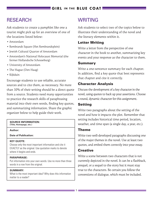# **RESEARCH**

Ask students to create a pamphlet like one a tourist might pick up for an overview of one of the locations listed below:

- Amsterdam
- Rembrandt Square (Het Rembrandtplein)
- Jewish Cultural Quarter of Amsterdam
- Amsterdam's National Holocaust Memorial (the former Hollandsche Schouwburg)
- University of Amsterdam
- The Hague (Den Haag)
- Kijkduin

Encourage students to use reliable, accurate sources and to cite them, as necessary. No more than 10% of their writing should be a direct quote from a source. Students need many opportunities to practice the research skills of paraphrasing material into their own words, finding key quotes, and summarizing information. Share the graphic organizer below to help guide their work.

## **SOURCE INFORMATION:**

**(Title, Homepage, etc.)**

#### **Author:**

**Date of Publication:**

#### **KEY QUOTE:**

Choose only the most important information and cite it EXACTLY as the original. Use quotation marks to denote where it begins and ends.

#### **PARAPHRASE:**

Put information into your own words. Use no more than three words in a row from the original.

#### **SUMMARY:**

What is the most important idea? Why does this information matter to a reader?

# WRITING

Ask students to select two of the topics below to illustrate their understanding of the novel and the literary elements within it.

## Letter Writing

Write a letter from the perspective of one character in the book to another, summarizing key events and your response as the character to them.

## Summary

Write a one-sentence summary for each chapter. In addition, find a key quote that best represents that chapter and cite it correctly.

## Character Analysis

Discuss the development of a key character in the novel, using quotes to back up your assertions. Choose a round, dynamic character for this assignment.

## Setting

Write two paragraphs about the setting of the novel and how it impacts the plot. Remember that setting includes historical time period, location, weather, and time span (a single day, a year, etc.).

## Theme

Write two well-developed paragraphs discussing one of the major themes in the novel. Use at least two quotes, and embed them correctly into your essay.

## **Creative**

Write a scene between two characters that is not currently depicted in the novel. It can be a flashback, prequel, or a sequel to the story but it must stay true to the characters. Be certain you follow the conventions of dialogue, which must be included.